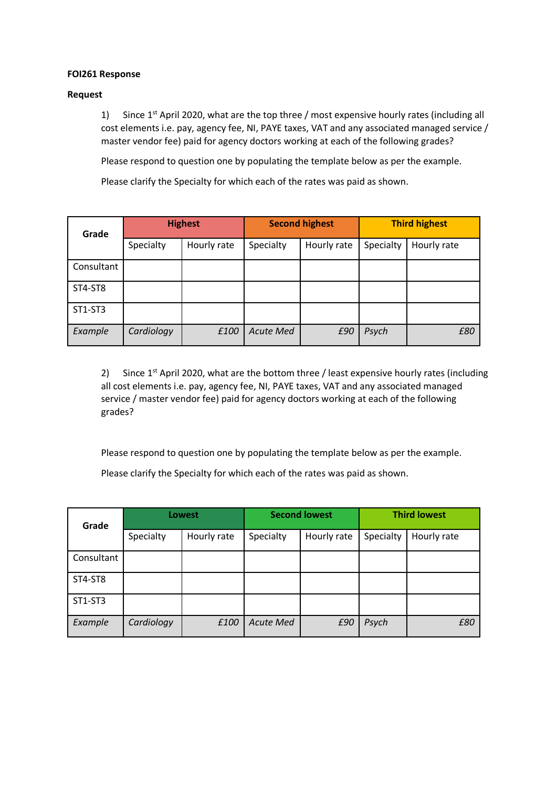## **FOI261 Response**

## **Request**

1) Since  $1^{st}$  April 2020, what are the top three / most expensive hourly rates (including all cost elements i.e. pay, agency fee, NI, PAYE taxes, VAT and any associated managed service / master vendor fee) paid for agency doctors working at each of the following grades?

Please respond to question one by populating the template below as per the example.

Please clarify the Specialty for which each of the rates was paid as shown.

| Grade      | <b>Highest</b> |             | <b>Second highest</b> |             | <b>Third highest</b> |             |
|------------|----------------|-------------|-----------------------|-------------|----------------------|-------------|
|            | Specialty      | Hourly rate | Specialty             | Hourly rate | Specialty            | Hourly rate |
| Consultant |                |             |                       |             |                      |             |
| ST4-ST8    |                |             |                       |             |                      |             |
| ST1-ST3    |                |             |                       |             |                      |             |
| Example    | Cardiology     | £100        | <b>Acute Med</b>      | £90         | Psych                | £80         |

2) Since  $1^{st}$  April 2020, what are the bottom three / least expensive hourly rates (including all cost elements i.e. pay, agency fee, NI, PAYE taxes, VAT and any associated managed service / master vendor fee) paid for agency doctors working at each of the following grades?

Please respond to question one by populating the template below as per the example.

Please clarify the Specialty for which each of the rates was paid as shown.

| Grade      | <b>Lowest</b> |             | <b>Second lowest</b> |             | <b>Third lowest</b> |             |
|------------|---------------|-------------|----------------------|-------------|---------------------|-------------|
|            | Specialty     | Hourly rate | Specialty            | Hourly rate | Specialty           | Hourly rate |
| Consultant |               |             |                      |             |                     |             |
| ST4-ST8    |               |             |                      |             |                     |             |
| ST1-ST3    |               |             |                      |             |                     |             |
| Example    | Cardiology    | £100        | <b>Acute Med</b>     | £90         | Psych               | £80         |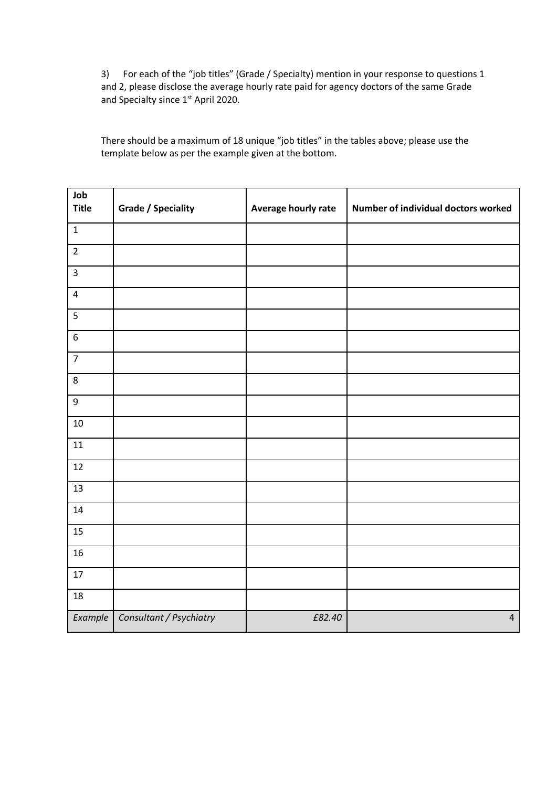3) For each of the "job titles" (Grade / Specialty) mention in your response to questions 1 and 2, please disclose the average hourly rate paid for agency doctors of the same Grade and Specialty since 1<sup>st</sup> April 2020.

There should be a maximum of 18 unique "job titles" in the tables above; please use the template below as per the example given at the bottom.

| Job<br><b>Title</b> | <b>Grade / Speciality</b> | Average hourly rate | Number of individual doctors worked |
|---------------------|---------------------------|---------------------|-------------------------------------|
| $\mathbf 1$         |                           |                     |                                     |
| $\mathbf 2$         |                           |                     |                                     |
| $\mathsf 3$         |                           |                     |                                     |
| $\pmb{4}$           |                           |                     |                                     |
| 5                   |                           |                     |                                     |
| $\boldsymbol{6}$    |                           |                     |                                     |
| $\overline{7}$      |                           |                     |                                     |
| $\bf 8$             |                           |                     |                                     |
| 9                   |                           |                     |                                     |
| 10                  |                           |                     |                                     |
| 11                  |                           |                     |                                     |
| 12                  |                           |                     |                                     |
| 13                  |                           |                     |                                     |
| 14                  |                           |                     |                                     |
| 15                  |                           |                     |                                     |
| 16                  |                           |                     |                                     |
| 17                  |                           |                     |                                     |
| 18                  |                           |                     |                                     |
| Example             | Consultant / Psychiatry   | £82.40              | $\overline{4}$                      |